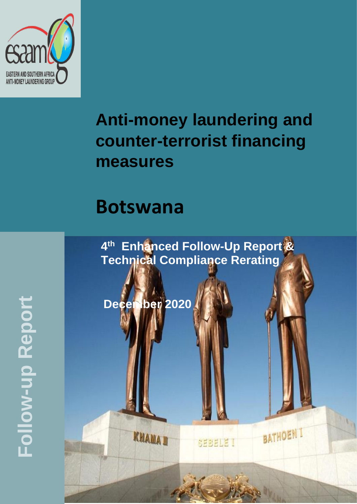

# **Anti-money laundering and counter-terrorist financing measures**

## **Botswana**

**4 th Enhanced Follow-Up Report & Technical Compliance Rerating**

SEBELE I

**BATHOEN I** 

**December 2020**

**KHAMA D** 

**Follow -up Report**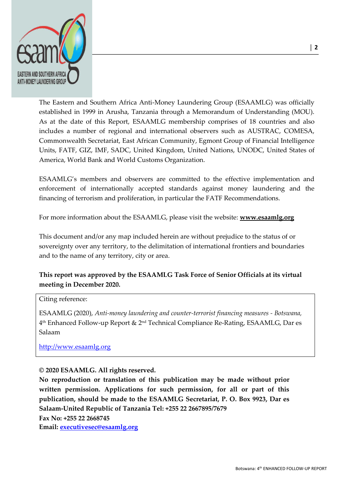

The Eastern and Southern Africa Anti-Money Laundering Group (ESAAMLG) was officially established in 1999 in Arusha, Tanzania through a Memorandum of Understanding (MOU). As at the date of this Report, ESAAMLG membership comprises of 18 countries and also includes a number of regional and international observers such as AUSTRAC, COMESA, Commonwealth Secretariat, East African Community, Egmont Group of Financial Intelligence Units, FATF, GIZ, IMF, SADC, United Kingdom, United Nations, UNODC, United States of America, World Bank and World Customs Organization.

ESAAMLG's members and observers are committed to the effective implementation and enforcement of internationally accepted standards against money laundering and the financing of terrorism and proliferation, in particular the FATF Recommendations.

For more information about the ESAAMLG, please visit the website: **[www.esaamlg.org](http://www.esaamlg.org/)**

This document and/or any map included herein are without prejudice to the status of or sovereignty over any territory, to the delimitation of international frontiers and boundaries and to the name of any territory, city or area.

#### **This report was approved by the ESAAMLG Task Force of Senior Officials at its virtual meeting in December 2020.**

#### Citing reference:

ESAAMLG (2020), *Anti-money laundering and counter-terrorist financing measures - Botswana,*  4 th Enhanced Follow-up Report & 2nd Technical Compliance Re-Rating, ESAAMLG, Dar es Salaam

[http://www.esaamlg.org](http://www.esaamlg.org/) 

#### **© 2020 ESAAMLG. All rights reserved.**

**No reproduction or translation of this publication may be made without prior written permission. Applications for such permission, for all or part of this publication, should be made to the ESAAMLG Secretariat, P. O. Box 9923, Dar es Salaam-United Republic of Tanzania Tel: +255 22 2667895/7679 Fax No: +255 22 2668745**

**Email: [executivesec@esaamlg.org](mailto:executivesec@esaamlg.org)**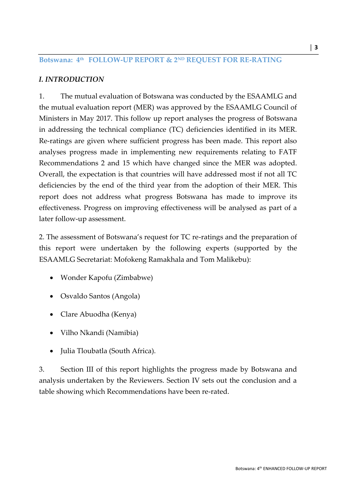#### **Botswana: 4th FOLLOW-UP REPORT & 2ND REQUEST FOR RE-RATING**

#### *I. INTRODUCTION*

1. The mutual evaluation of Botswana was conducted by the ESAAMLG and the mutual evaluation report (MER) was approved by the ESAAMLG Council of Ministers in May 2017. This follow up report analyses the progress of Botswana in addressing the technical compliance (TC) deficiencies identified in its MER. Re-ratings are given where sufficient progress has been made. This report also analyses progress made in implementing new requirements relating to FATF Recommendations 2 and 15 which have changed since the MER was adopted. Overall, the expectation is that countries will have addressed most if not all TC deficiencies by the end of the third year from the adoption of their MER. This report does not address what progress Botswana has made to improve its effectiveness. Progress on improving effectiveness will be analysed as part of a later follow-up assessment.

2. The assessment of Botswana's request for TC re-ratings and the preparation of this report were undertaken by the following experts (supported by the ESAAMLG Secretariat: Mofokeng Ramakhala and Tom Malikebu):

- Wonder Kapofu (Zimbabwe)
- Osvaldo Santos (Angola)
- Clare Abuodha (Kenya)
- Vilho Nkandi (Namibia)
- Julia Tloubatla (South Africa).

3. Section III of this report highlights the progress made by Botswana and analysis undertaken by the Reviewers. Section IV sets out the conclusion and a table showing which Recommendations have been re-rated.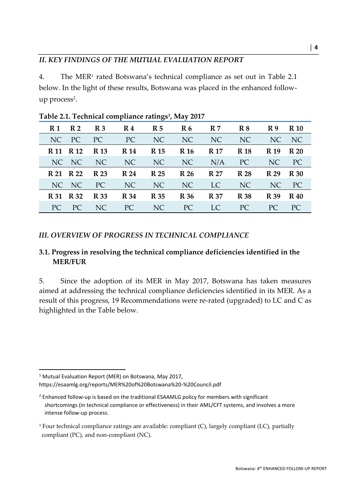#### *II. KEY FINDINGS OF THE MUTUAL EVALUATION REPORT*

4. The MER<sup>1</sup> rated Botswana's technical compliance as set out in Table 2.1 below. In the light of these results, Botswana was placed in the enhanced followup process<sup>2</sup>.

| R 1<br><b>R2</b> | <b>R</b> 3                 | $\mathbf{R} 4$ | R <sub>5</sub> | $\mathbb{R}6$ | R <sub>7</sub> | R8          | R9          | <b>R</b> 10 |
|------------------|----------------------------|----------------|----------------|---------------|----------------|-------------|-------------|-------------|
| PC<br>NC         | PC                         | PC             | NC             | NC            | NC             | NC          |             | NC NC       |
| R 11 R 12        | <b>R</b> 13                | <b>R</b> 14    | <b>R</b> 15    | <b>R</b> 16   | <b>R</b> 17    | <b>R</b> 18 | R 19        | <b>R</b> 20 |
| NC NC            | NC                         | NC             | NC             | NC            | N/A            | PC          |             | NC PC       |
| R 22<br>R 21     | <b>R</b> 23                | R 24           | <b>R</b> 25    | <b>R</b> 26   | <b>R</b> 27    | <b>R</b> 28 | <b>R</b> 29 | <b>R</b> 30 |
| NC NC            | PC                         | NC             | NC             | NC            | LC.            | NC          |             | NC PC       |
| <b>R</b> 31      | <b>R</b> 33<br><b>R</b> 32 | <b>R</b> 34    | <b>R</b> 35    | <b>R</b> 36   | <b>R</b> 37    | <b>R</b> 38 | <b>R</b> 39 | <b>R</b> 40 |
| PC               | NC<br>PC                   | PC.            | NC             | PC            | LC.            | PC.         | PC.         | PC.         |

**Table 2.1. Technical compliance ratings<sup>3</sup> , May 2017** 

## *III. OVERVIEW OF PROGRESS IN TECHNICAL COMPLIANCE*

## **3.1. Progress in resolving the technical compliance deficiencies identified in the MER/FUR**

5. Since the adoption of its MER in May 2017, Botswana has taken measures aimed at addressing the technical compliance deficiencies identified in its MER. As a result of this progress, 19 Recommendations were re-rated (upgraded) to LC and C as highlighted in the Table below.

<sup>&</sup>lt;sup>1</sup> Mutual Evaluation Report (MER) on Botswana, May 2017, https://esaamlg.org/reports/MER%20of%20Botswana%20-%20Council.pdf

 $2$  Enhanced follow-up is based on the traditional ESAAMLG policy for members with significant shortcomings (in technical compliance or effectiveness) in their AML/CFT systems, and involves a more intense follow-up process.

<sup>&</sup>lt;sup>3</sup> Four technical compliance ratings are available: compliant  $(C)$ , largely compliant  $(LC)$ , partially compliant (PC), and non-compliant (NC).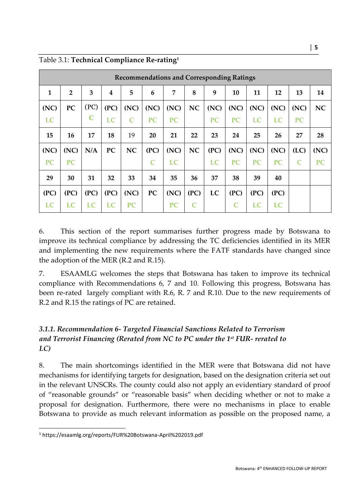| <b>Recommendations and Corresponding Ratings</b> |                |             |      |           |                             |                |           |           |           |           |           |           |           |
|--------------------------------------------------|----------------|-------------|------|-----------|-----------------------------|----------------|-----------|-----------|-----------|-----------|-----------|-----------|-----------|
| 1                                                | $\overline{2}$ | 3           | 4    | 5         | 6                           | $\overline{7}$ | 8         | 9         | 10        | 11        | 12        | 13        | 14        |
| (NC)                                             | PC             | (PC)        | (PC) | (NC)      | (NC)                        | (NC)           | NC        | (NC)      | (NC)      | (NC)      | (NC)      | (NC)      | <b>NC</b> |
| LC                                               |                | $\mathbf C$ | LC   | C         | <b>PC</b>                   | <b>PC</b>      |           | <b>PC</b> | <b>PC</b> | <b>LC</b> | <b>LC</b> | <b>PC</b> |           |
| 15                                               | 16             | 17          | 18   | 19        | 20                          | 21             | 22        | 23        | 24        | 25        | 26        | 27        | 28        |
| (NC)                                             | (NC)           | N/A         | PC   | <b>NC</b> | (PC)                        | (NC)           | <b>NC</b> | (PC)      | (NC)      | (NC)      | (NC)      | (LC)      | (NC)      |
| <b>PC</b>                                        | <b>PC</b>      |             |      |           | $\mathcal{C}_{\mathcal{C}}$ | LC             |           | LC        | <b>PC</b> | PC        | <b>PC</b> | C         | <b>PC</b> |
| 29                                               | 30             | 31          | 32   | 33        | 34                          | 35             | 36        | 37        | 38        | 39        | 40        |           |           |
| (PC)                                             | (PC)           | (PC)        | (PC) | (NC)      | PC                          | (NC)           | (PC)      | LC        | (PC)      | (PC)      | (PC)      |           |           |
| LC                                               | LC             | LC          | LC   | PC        |                             | <b>PC</b>      |           |           |           | LC        | LC        |           |           |

Table 3.1: **Technical Compliance Re-rating<sup>1</sup>**

6. This section of the report summarises further progress made by Botswana to improve its technical compliance by addressing the TC deficiencies identified in its MER and implementing the new requirements where the FATF standards have changed since the adoption of the MER (R.2 and R.15).

7. ESAAMLG welcomes the steps that Botswana has taken to improve its technical compliance with Recommendations 6, 7 and 10. Following this progress, Botswana has been re-rated largely compliant with R.6, R. 7 and R.10. Due to the new requirements of R.2 and R.15 the ratings of PC are retained.

#### *3.1.1. Recommendation 6- Targeted Financial Sanctions Related to Terrorism and Terrorist Financing (Rerated from NC to PC under the 1st FUR- rerated to LC)*

8. The main shortcomings identified in the MER were that Botswana did not have mechanisms for identifying targets for designation, based on the designation criteria set out in the relevant UNSCRs. The county could also not apply an evidentiary standard of proof of "reasonable grounds" or "reasonable basis" when deciding whether or not to make a proposal for designation. Furthermore, there were no mechanisms in place to enable Botswana to provide as much relevant information as possible on the proposed name, a

<sup>1</sup> https://esaamlg.org/reports/FUR%20Botswana-April%202019.pdf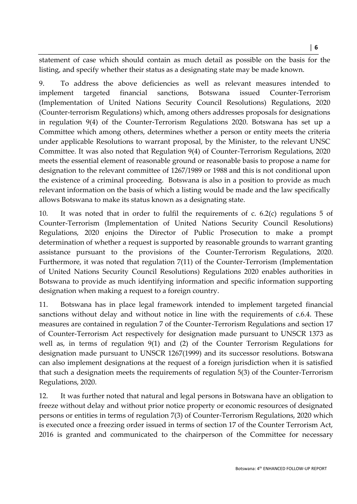statement of case which should contain as much detail as possible on the basis for the listing, and specify whether their status as a designating state may be made known.

9. To address the above deficiencies as well as relevant measures intended to implement targeted financial sanctions, Botswana issued Counter-Terrorism (Implementation of United Nations Security Council Resolutions) Regulations, 2020 (Counter-terrorism Regulations) which, among others addresses proposals for designations in regulation 9(4) of the Counter-Terrorism Regulations 2020. Botswana has set up a Committee which among others, determines whether a person or entity meets the criteria under applicable Resolutions to warrant proposal, by the Minister, to the relevant UNSC Committee. It was also noted that Regulation 9(4) of Counter-Terrorism Regulations, 2020 meets the essential element of reasonable ground or reasonable basis to propose a name for designation to the relevant committee of 1267/1989 or 1988 and this is not conditional upon the existence of a criminal proceeding. Botswana is also in a position to provide as much relevant information on the basis of which a listing would be made and the law specifically allows Botswana to make its status known as a designating state.

10. It was noted that in order to fulfil the requirements of c. 6.2(c) regulations 5 of Counter-Terrorism (Implementation of United Nations Security Council Resolutions) Regulations, 2020 enjoins the Director of Public Prosecution to make a prompt determination of whether a request is supported by reasonable grounds to warrant granting assistance pursuant to the provisions of the Counter-Terrorism Regulations, 2020. Furthermore, it was noted that regulation 7(11) of the Counter-Terrorism (Implementation of United Nations Security Council Resolutions) Regulations 2020 enables authorities in Botswana to provide as much identifying information and specific information supporting designation when making a request to a foreign country.

11. Botswana has in place legal framework intended to implement targeted financial sanctions without delay and without notice in line with the requirements of c.6.4. These measures are contained in regulation 7 of the Counter-Terrorism Regulations and section 17 of Counter-Terrorism Act respectively for designation made pursuant to UNSCR 1373 as well as, in terms of regulation 9(1) and (2) of the Counter Terrorism Regulations for designation made pursuant to UNSCR 1267(1999) and its successor resolutions. Botswana can also implement designations at the request of a foreign jurisdiction when it is satisfied that such a designation meets the requirements of regulation 5(3) of the Counter-Terrorism Regulations, 2020.

12. It was further noted that natural and legal persons in Botswana have an obligation to freeze without delay and without prior notice property or economic resources of designated persons or entities in terms of regulation 7(3) of Counter-Terrorism Regulations, 2020 which is executed once a freezing order issued in terms of section 17 of the Counter Terrorism Act, 2016 is granted and communicated to the chairperson of the Committee for necessary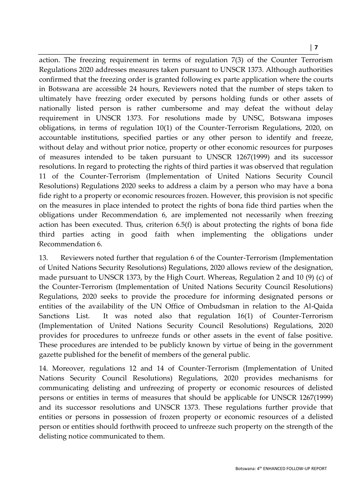action. The freezing requirement in terms of regulation 7(3) of the Counter Terrorism Regulations 2020 addresses measures taken pursuant to UNSCR 1373. Although authorities confirmed that the freezing order is granted following ex parte application where the courts in Botswana are accessible 24 hours, Reviewers noted that the number of steps taken to ultimately have freezing order executed by persons holding funds or other assets of nationally listed person is rather cumbersome and may defeat the without delay requirement in UNSCR 1373. For resolutions made by UNSC, Botswana imposes obligations, in terms of regulation 10(1) of the Counter-Terrorism Regulations, 2020, on accountable institutions, specified parties or any other person to identify and freeze, without delay and without prior notice, property or other economic resources for purposes of measures intended to be taken pursuant to UNSCR 1267(1999) and its successor resolutions. In regard to protecting the rights of third parties it was observed that regulation 11 of the Counter-Terrorism (Implementation of United Nations Security Council Resolutions) Regulations 2020 seeks to address a claim by a person who may have a bona fide right to a property or economic resources frozen. However, this provision is not specific on the measures in place intended to protect the rights of bona fide third parties when the obligations under Recommendation 6, are implemented not necessarily when freezing action has been executed. Thus, criterion 6.5(f) is about protecting the rights of bona fide third parties acting in good faith when implementing the obligations under Recommendation 6.

13. Reviewers noted further that regulation 6 of the Counter-Terrorism (Implementation of United Nations Security Resolutions) Regulations, 2020 allows review of the designation, made pursuant to UNSCR 1373, by the High Court. Whereas, Regulation 2 and 10 (9) (c) of the Counter-Terrorism (Implementation of United Nations Security Council Resolutions) Regulations, 2020 seeks to provide the procedure for informing designated persons or entities of the availability of the UN Office of Ombudsman in relation to the Al-Qaida Sanctions List. It was noted also that regulation 16(1) of Counter-Terrorism (Implementation of United Nations Security Council Resolutions) Regulations, 2020 provides for procedures to unfreeze funds or other assets in the event of false positive. These procedures are intended to be publicly known by virtue of being in the government gazette published for the benefit of members of the general public.

14. Moreover, regulations 12 and 14 of Counter-Terrorism (Implementation of United Nations Security Council Resolutions) Regulations, 2020 provides mechanisms for communicating delisting and unfreezing of property or economic resources of delisted persons or entities in terms of measures that should be applicable for UNSCR 1267(1999) and its successor resolutions and UNSCR 1373. These regulations further provide that entities or persons in possession of frozen property or economic resources of a delisted person or entities should forthwith proceed to unfreeze such property on the strength of the delisting notice communicated to them.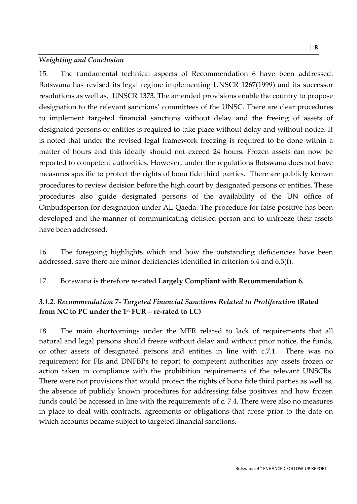#### W*eighting and Conclusion*

15. The fundamental technical aspects of Recommendation 6 have been addressed. Botswana has revised its legal regime implementing UNSCR 1267(1999) and its successor resolutions as well as, UNSCR 1373. The amended provisions enable the country to propose designation to the relevant sanctions' committees of the UNSC. There are clear procedures to implement targeted financial sanctions without delay and the freeing of assets of designated persons or entities is required to take place without delay and without notice. It is noted that under the revised legal framework freezing is required to be done within a matter of hours and this ideally should not exceed 24 hours. Frozen assets can now be reported to competent authorities. However, under the regulations Botswana does not have measures specific to protect the rights of bona fide third parties. There are publicly known procedures to review decision before the high court by designated persons or entities. These procedures also guide designated persons of the availability of the UN office of Ombudsperson for designation under AL-Qaeda. The procedure for false positive has been developed and the manner of communicating delisted person and to unfreeze their assets have been addressed.

16. The foregoing highlights which and how the outstanding deficiencies have been addressed, save there are minor deficiencies identified in criterion 6.4 and 6.5(f).

17. Botswana is therefore re-rated **Largely Compliant with Recommendation 6***.*

## *3.1.2. Recommendation 7- Targeted Financial Sanctions Related to Proliferation* **(Rated from NC to PC under the 1st FUR – re-rated to LC)**

18. The main shortcomings under the MER related to lack of requirements that all natural and legal persons should freeze without delay and without prior notice, the funds, or other assets of designated persons and entities in line with c.7.1. There was no requirement for FIs and DNFBPs to report to competent authorities any assets frozen or action taken in compliance with the prohibition requirements of the relevant UNSCRs. There were not provisions that would protect the rights of bona fide third parties as well as, the absence of publicly known procedures for addressing false positives and how frozen funds could be accessed in line with the requirements of c. 7.4. There were also no measures in place to deal with contracts, agreements or obligations that arose prior to the date on which accounts became subject to targeted financial sanctions.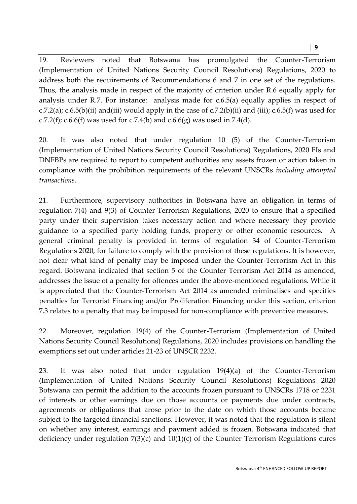**│ 9**

19. Reviewers noted that Botswana has promulgated the Counter-Terrorism (Implementation of United Nations Security Council Resolutions) Regulations, 2020 to address both the requirements of Recommendations 6 and 7 in one set of the regulations. Thus, the analysis made in respect of the majority of criterion under R.6 equally apply for analysis under R.7. For instance: analysis made for c.6.5(a) equally applies in respect of c.7.2(a); c.6.5(b)(ii) and(iii) would apply in the case of c.7.2(b)(ii) and (iii); c.6.5(f) was used for c.7.2(f); c.6.6(f) was used for c.7.4(b) and c.6.6(g) was used in 7.4(d).

20. It was also noted that under regulation 10 (5) of the Counter-Terrorism (Implementation of United Nations Security Council Resolutions) Regulations, 2020 FIs and DNFBPs are required to report to competent authorities any assets frozen or action taken in compliance with the prohibition requirements of the relevant UNSCRs *including attempted transactions*.

21. Furthermore, supervisory authorities in Botswana have an obligation in terms of regulation 7(4) and 9(3) of Counter-Terrorism Regulations, 2020 to ensure that a specified party under their supervision takes necessary action and where necessary they provide guidance to a specified party holding funds, property or other economic resources. A general criminal penalty is provided in terms of regulation 34 of Counter-Terrorism Regulations 2020, for failure to comply with the provision of these regulations. It is however, not clear what kind of penalty may be imposed under the Counter-Terrorism Act in this regard. Botswana indicated that section 5 of the Counter Terrorism Act 2014 as amended, addresses the issue of a penalty for offences under the above-mentioned regulations. While it is appreciated that the Counter-Terrorism Act 2014 as amended criminalises and specifies penalties for Terrorist Financing and/or Proliferation Financing under this section, criterion 7.3 relates to a penalty that may be imposed for non-compliance with preventive measures.

22. Moreover, regulation 19(4) of the Counter-Terrorism (Implementation of United Nations Security Council Resolutions) Regulations, 2020 includes provisions on handling the exemptions set out under articles 21-23 of UNSCR 2232.

23. It was also noted that under regulation 19(4)(a) of the Counter-Terrorism (Implementation of United Nations Security Council Resolutions) Regulations 2020 Botswana can permit the addition to the accounts frozen pursuant to UNSCRs 1718 or 2231 of interests or other earnings due on those accounts or payments due under contracts, agreements or obligations that arose prior to the date on which those accounts became subject to the targeted financial sanctions. However, it was noted that the regulation is silent on whether any interest, earnings and payment added is frozen. Botswana indicated that deficiency under regulation 7(3)(c) and 10(1)(c) of the Counter Terrorism Regulations cures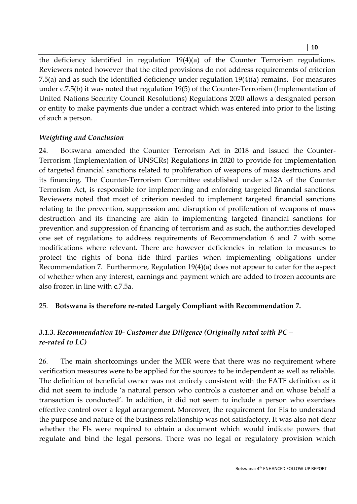**│ 10**

the deficiency identified in regulation 19(4)(a) of the Counter Terrorism regulations. Reviewers noted however that the cited provisions do not address requirements of criterion 7.5(a) and as such the identified deficiency under regulation 19(4)(a) remains. For measures under c.7.5(b) it was noted that regulation 19(5) of the Counter-Terrorism (Implementation of United Nations Security Council Resolutions) Regulations 2020 allows a designated person or entity to make payments due under a contract which was entered into prior to the listing of such a person.

#### *Weighting and Conclusion*

24. Botswana amended the Counter Terrorism Act in 2018 and issued the Counter-Terrorism (Implementation of UNSCRs) Regulations in 2020 to provide for implementation of targeted financial sanctions related to proliferation of weapons of mass destructions and its financing. The Counter-Terrorism Committee established under s.12A of the Counter Terrorism Act, is responsible for implementing and enforcing targeted financial sanctions. Reviewers noted that most of criterion needed to implement targeted financial sanctions relating to the prevention, suppression and disruption of proliferation of weapons of mass destruction and its financing are akin to implementing targeted financial sanctions for prevention and suppression of financing of terrorism and as such, the authorities developed one set of regulations to address requirements of Recommendation 6 and 7 with some modifications where relevant. There are however deficiencies in relation to measures to protect the rights of bona fide third parties when implementing obligations under Recommendation 7. Furthermore, Regulation 19(4)(a) does not appear to cater for the aspect of whether when any interest, earnings and payment which are added to frozen accounts are also frozen in line with c.7.5a.

#### 25. **Botswana is therefore re-rated Largely Compliant with Recommendation 7.**

#### *3.1.3. Recommendation 10- Customer due Diligence (Originally rated with PC – re-rated to LC)*

26. The main shortcomings under the MER were that there was no requirement where verification measures were to be applied for the sources to be independent as well as reliable. The definition of beneficial owner was not entirely consistent with the FATF definition as it did not seem to include 'a natural person who controls a customer and on whose behalf a transaction is conducted'. In addition, it did not seem to include a person who exercises effective control over a legal arrangement. Moreover, the requirement for FIs to understand the purpose and nature of the business relationship was not satisfactory. It was also not clear whether the FIs were required to obtain a document which would indicate powers that regulate and bind the legal persons. There was no legal or regulatory provision which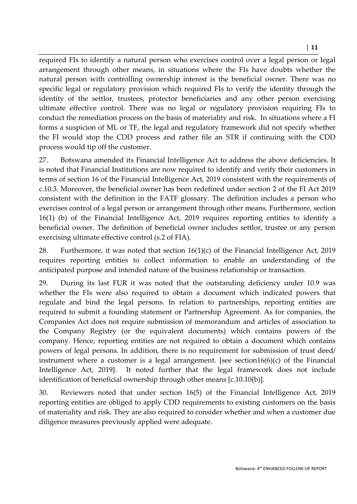required FIs to identify a natural person who exercises control over a legal person or legal arrangement through other means, in situations where the FIs have doubts whether the natural person with controlling ownership interest is the beneficial owner. There was no specific legal or regulatory provision which required FIs to verify the identity through the identity of the settlor, trustees, protector beneficiaries and any other person exercising ultimate effective control. There was no legal or regulatory provision requiring FIs to conduct the remediation process on the basis of materiality and risk. In situations where a FI forms a suspicion of ML or TF, the legal and regulatory framework did not specify whether the FI would stop the CDD process and rather file an STR if continuing with the CDD process would tip off the customer.

27. Botswana amended its Financial Intelligence Act to address the above deficiencies. It is noted that Financial Institutions are now required to identify and verify their customers in terms of section 16 of the Financial Intelligence Act, 2019 consistent with the requirements of c.10.3. Moreover, the beneficial owner has been redefined under section 2 of the FI Act 2019 consistent with the definition in the FATF glossary. The definition includes a person who exercises control of a legal person or arrangement through other means. Furthermore, section 16(1) (b) of the Financial Intelligence Act, 2019 requires reporting entities to identify a beneficial owner. The definition of beneficial owner includes settlor, trustee or any person exercising ultimate effective control (s.2 of FIA).

28. Furthermore, it was noted that section 16(1)(c) of the Financial Intelligence Act, 2019 requires reporting entities to collect information to enable an understanding of the anticipated purpose and intended nature of the business relationship or transaction.

29. During its last FUR it was noted that the outstanding deficiency under 10.9 was whether the FIs were also required to obtain a document which indicated powers that regulate and bind the legal persons. In relation to partnerships, reporting entities are required to submit a founding statement or Partnership Agreement. As for companies, the Companies Act does not require submission of memorandum and articles of association to the Company Registry (or the equivalent documents) which contains powers of the company. Hence, reporting entities are not required to obtain a document which contains powers of legal persons. In addition, there is no requirement for submission of trust deed/ instrument where a customer is a legal arrangement. [see section16(6)(c) of the Financial Intelligence Act, 2019]. It noted further that the legal framework does not include identification of beneficial ownership through other means [c.10.10(b)].

30. Reviewers noted that under section 16(5) of the Financial Intelligence Act, 2019 reporting entities are obliged to apply CDD requirements to existing customers on the basis of materiality and risk. They are also required to consider whether and when a customer due diligence measures previously applied were adequate.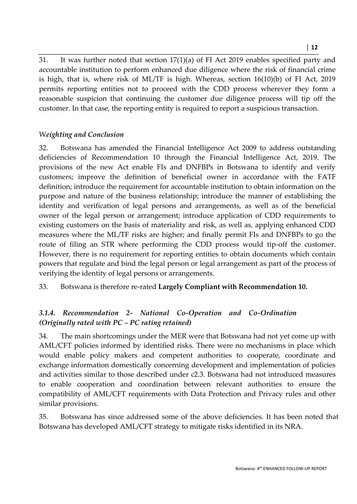**│ 12**

31. It was further noted that section 17(1)(a) of FI Act 2019 enables specified party and accountable institution to perform enhanced due diligence where the risk of financial crime is high, that is, where risk of ML/TF is high. Whereas, section 16(10)(b) of FI Act, 2019 permits reporting entities not to proceed with the CDD process wherever they form a reasonable suspicion that continuing the customer due diligence process will tip off the customer. In that case, the reporting entity is required to report a suspicious transaction.

#### W*eighting and Conclusion*

32. Botswana has amended the Financial Intelligence Act 2009 to address outstanding deficiencies of Recommendation 10 through the Financial Intelligence Act, 2019. The provisions of the new Act enable FIs and DNFBPs in Botswana to identify and verify customers; improve the definition of beneficial owner in accordance with the FATF definition; introduce the requirement for accountable institution to obtain information on the purpose and nature of the business relationship; introduce the manner of establishing the identity and verification of legal persons and arrangements, as well as of the beneficial owner of the legal person or arrangement; introduce application of CDD requirements to existing customers on the basis of materiality and risk, as well as, applying enhanced CDD measures where the ML/TF risks are higher; and finally permit FIs and DNFBPs to go the route of filing an STR where performing the CDD process would tip-off the customer. However, there is no requirement for reporting entities to obtain documents which contain powers that regulate and bind the legal person or legal arrangement as part of the process of verifying the identity of legal persons or arrangements.

33. Botswana is therefore re-rated **Largely Compliant with Recommendation 10.** 

## *3.1.4. Recommendation 2- National Co-Operation and Co-Ordination (Originally rated with PC – PC rating retained)*

34. The main shortcomings under the MER were that Botswana had not yet come up with AML/CFT policies informed by identified risks. There were no mechanisms in place which would enable policy makers and competent authorities to cooperate, coordinate and exchange information domestically concerning development and implementation of policies and activities similar to those described under c2.3. Botswana had not introduced measures to enable cooperation and coordination between relevant authorities to ensure the compatibility of AML/CFT requirements with Data Protection and Privacy rules and other similar provisions.

35. Botswana has since addressed some of the above deficiencies. It has been noted that Botswana has developed AML/CFT strategy to mitigate risks identified in its NRA.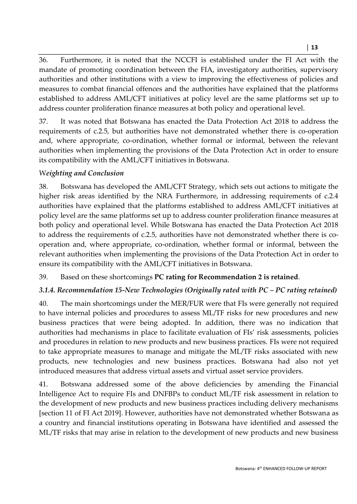36. Furthermore, it is noted that the NCCFI is established under the FI Act with the mandate of promoting coordination between the FIA, investigatory authorities, supervisory authorities and other institutions with a view to improving the effectiveness of policies and measures to combat financial offences and the authorities have explained that the platforms established to address AML/CFT initiatives at policy level are the same platforms set up to address counter proliferation finance measures at both policy and operational level.

37. It was noted that Botswana has enacted the Data Protection Act 2018 to address the requirements of c.2.5, but authorities have not demonstrated whether there is co-operation and, where appropriate, co-ordination, whether formal or informal, between the relevant authorities when implementing the provisions of the Data Protection Act in order to ensure its compatibility with the AML/CFT initiatives in Botswana.

## W*eighting and Conclusion*

38. Botswana has developed the AML/CFT Strategy, which sets out actions to mitigate the higher risk areas identified by the NRA Furthermore, in addressing requirements of c.2.4 authorities have explained that the platforms established to address AML/CFT initiatives at policy level are the same platforms set up to address counter proliferation finance measures at both policy and operational level. While Botswana has enacted the Data Protection Act 2018 to address the requirements of c.2.5, authorities have not demonstrated whether there is cooperation and, where appropriate, co-ordination, whether formal or informal, between the relevant authorities when implementing the provisions of the Data Protection Act in order to ensure its compatibility with the AML/CFT initiatives in Botswana.

39. Based on these shortcomings **PC rating for Recommendation 2 is retained**.

## *3.1.4. Recommendation 15-New Technologies (Originally rated with PC – PC rating retained)*

40. The main shortcomings under the MER/FUR were that FIs were generally not required to have internal policies and procedures to assess ML/TF risks for new procedures and new business practices that were being adopted. In addition, there was no indication that authorities had mechanisms in place to facilitate evaluation of FIs' risk assessments, policies and procedures in relation to new products and new business practices. FIs were not required to take appropriate measures to manage and mitigate the ML/TF risks associated with new products, new technologies and new business practices. Botswana had also not yet introduced measures that address virtual assets and virtual asset service providers.

41. Botswana addressed some of the above deficiencies by amending the Financial Intelligence Act to require FIs and DNFBPs to conduct ML/TF risk assessment in relation to the development of new products and new business practices including delivery mechanisms [section 11 of FI Act 2019]. However, authorities have not demonstrated whether Botswana as a country and financial institutions operating in Botswana have identified and assessed the ML/TF risks that may arise in relation to the development of new products and new business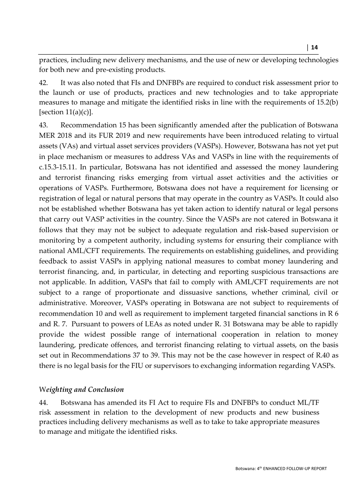practices, including new delivery mechanisms, and the use of new or developing technologies for both new and pre-existing products.

42. It was also noted that FIs and DNFBPs are required to conduct risk assessment prior to the launch or use of products, practices and new technologies and to take appropriate measures to manage and mitigate the identified risks in line with the requirements of 15.2(b) [section  $11(a)(c)$ ].

43. Recommendation 15 has been significantly amended after the publication of Botswana MER 2018 and its FUR 2019 and new requirements have been introduced relating to virtual assets (VAs) and virtual asset services providers (VASPs). However, Botswana has not yet put in place mechanism or measures to address VAs and VASPs in line with the requirements of c.15.3-15.11. In particular, Botswana has not identified and assessed the money laundering and terrorist financing risks emerging from virtual asset activities and the activities or operations of VASPs. Furthermore, Botswana does not have a requirement for licensing or registration of legal or natural persons that may operate in the country as VASPs. It could also not be established whether Botswana has yet taken action to identify natural or legal persons that carry out VASP activities in the country. Since the VASPs are not catered in Botswana it follows that they may not be subject to adequate regulation and risk-based supervision or monitoring by a competent authority, including systems for ensuring their compliance with national AML/CFT requirements. The requirements on establishing guidelines, and providing feedback to assist VASPs in applying national measures to combat money laundering and terrorist financing, and, in particular, in detecting and reporting suspicious transactions are not applicable. In addition, VASPs that fail to comply with AML/CFT requirements are not subject to a range of proportionate and dissuasive sanctions, whether criminal, civil or administrative. Moreover, VASPs operating in Botswana are not subject to requirements of recommendation 10 and well as requirement to implement targeted financial sanctions in R 6 and R. 7. Pursuant to powers of LEAs as noted under R. 31 Botswana may be able to rapidly provide the widest possible range of international cooperation in relation to money laundering, predicate offences, and terrorist financing relating to virtual assets, on the basis set out in Recommendations 37 to 39. This may not be the case however in respect of R.40 as there is no legal basis for the FIU or supervisors to exchanging information regarding VASPs.

#### W*eighting and Conclusion*

44. Botswana has amended its FI Act to require FIs and DNFBPs to conduct ML/TF risk assessment in relation to the development of new products and new business practices including delivery mechanisms as well as to take to take appropriate measures to manage and mitigate the identified risks.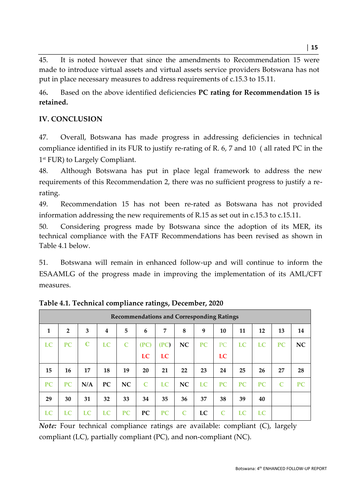45. It is noted however that since the amendments to Recommendation 15 were made to introduce virtual assets and virtual assets service providers Botswana has not put in place necessary measures to address requirements of c.15.3 to 15.11.

46**.** Based on the above identified deficiencies **PC rating for Recommendation 15 is retained.** 

## **IV. CONCLUSION**

47. Overall, Botswana has made progress in addressing deficiencies in technical compliance identified in its FUR to justify re-rating of R. 6, 7 and 10 ( all rated PC in the 1 st FUR) to Largely Compliant.

48. Although Botswana has put in place legal framework to address the new requirements of this Recommendation 2, there was no sufficient progress to justify a rerating.

49. Recommendation 15 has not been re-rated as Botswana has not provided information addressing the new requirements of R.15 as set out in c.15.3 to c.15.11.

50. Considering progress made by Botswana since the adoption of its MER, its technical compliance with the FATF Recommendations has been revised as shown in Table 4.1 below.

51. Botswana will remain in enhanced follow-up and will continue to inform the ESAAMLG of the progress made in improving the implementation of its AML/CFT measures.

| <b>Recommendations and Corresponding Ratings</b> |                |             |                         |              |              |                |              |           |           |           |           |              |           |
|--------------------------------------------------|----------------|-------------|-------------------------|--------------|--------------|----------------|--------------|-----------|-----------|-----------|-----------|--------------|-----------|
| $\mathbf{1}$                                     | $\overline{2}$ | 3           | $\overline{\mathbf{4}}$ | 5            | 6            | $\overline{7}$ | 8            | 9         | 10        | 11        | 12        | 13           | 14        |
| LC                                               | PC             | $\mathbf C$ | LC                      | $\mathsf{C}$ | (PC)         | (PC)           | NC           | PC        | PC        | LC        | LC        | <b>PC</b>    | <b>NC</b> |
|                                                  |                |             |                         |              | LC           | LC             |              |           | LC        |           |           |              |           |
| 15                                               | 16             | 17          | 18                      | 19           | 20           | 21             | 22           | 23        | 24        | 25        | 26        | 27           | 28        |
| <b>PC</b>                                        | <b>PC</b>      | N/A         | <b>PC</b>               | <b>NC</b>    | $\mathsf{C}$ | LC             | NC           | <b>LC</b> | <b>PC</b> | <b>PC</b> | <b>PC</b> | $\mathbb{C}$ | <b>PC</b> |
| 29                                               | 30             | 31          | 32                      | 33           | 34           | 35             | 36           | 37        | 38        | 39        | 40        |              |           |
| LC                                               | LC             | <b>LC</b>   | LC                      | <b>PC</b>    | PC           | <b>PC</b>      | $\mathsf{C}$ | LC        | C         | LC        | LC        |              |           |

**Table 4.1. Technical compliance ratings, December, 2020** 

*Note:* Four technical compliance ratings are available: compliant (C), largely compliant (LC), partially compliant (PC), and non-compliant (NC).